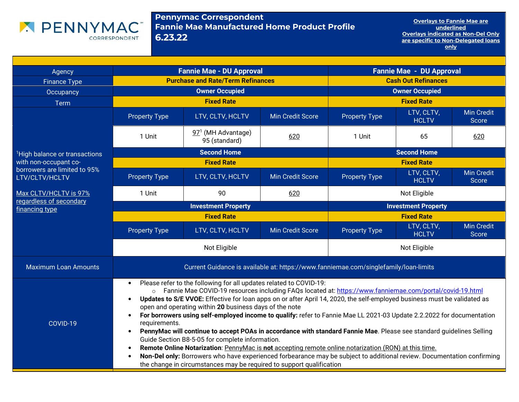

Pennymac Correspondent Fannie Mae Manufactured Home Product Profile6.23.22

Overlays to Fannie Mae are underlined Overlays indicated as Non-Del Only are specific to Non-Delegated loans only

| Agency                                         | <b>Fannie Mae - DU Approval</b>                                                                                                                                                                                                                                                                                                                                                                                                                                                                                                                                                                                                                                                                                                                                                                                                                                                                                                                                                                                                         |                                                 |                         |                            | <b>Fannie Mae - DU Approval</b> |                            |
|------------------------------------------------|-----------------------------------------------------------------------------------------------------------------------------------------------------------------------------------------------------------------------------------------------------------------------------------------------------------------------------------------------------------------------------------------------------------------------------------------------------------------------------------------------------------------------------------------------------------------------------------------------------------------------------------------------------------------------------------------------------------------------------------------------------------------------------------------------------------------------------------------------------------------------------------------------------------------------------------------------------------------------------------------------------------------------------------------|-------------------------------------------------|-------------------------|----------------------------|---------------------------------|----------------------------|
| <b>Finance Type</b>                            | <b>Purchase and Rate/Term Refinances</b>                                                                                                                                                                                                                                                                                                                                                                                                                                                                                                                                                                                                                                                                                                                                                                                                                                                                                                                                                                                                |                                                 |                         | <b>Cash Out Refinances</b> |                                 |                            |
| Occupancy                                      | <b>Owner Occupied</b>                                                                                                                                                                                                                                                                                                                                                                                                                                                                                                                                                                                                                                                                                                                                                                                                                                                                                                                                                                                                                   |                                                 |                         |                            | <b>Owner Occupied</b>           |                            |
| Term                                           |                                                                                                                                                                                                                                                                                                                                                                                                                                                                                                                                                                                                                                                                                                                                                                                                                                                                                                                                                                                                                                         | <b>Fixed Rate</b>                               |                         |                            | <b>Fixed Rate</b>               |                            |
|                                                | <b>Property Type</b>                                                                                                                                                                                                                                                                                                                                                                                                                                                                                                                                                                                                                                                                                                                                                                                                                                                                                                                                                                                                                    | LTV, CLTV, HCLTV                                | <b>Min Credit Score</b> | <b>Property Type</b>       | LTV, CLTV,<br><b>HCLTV</b>      | <b>Min Credit</b><br>Score |
|                                                | 1 Unit                                                                                                                                                                                                                                                                                                                                                                                                                                                                                                                                                                                                                                                                                                                                                                                                                                                                                                                                                                                                                                  | 97 <sup>1</sup> (MH Advantage)<br>95 (standard) | 620                     | 1 Unit                     | 65                              | 620                        |
| <sup>1</sup> High balance or transactions      |                                                                                                                                                                                                                                                                                                                                                                                                                                                                                                                                                                                                                                                                                                                                                                                                                                                                                                                                                                                                                                         | <b>Second Home</b>                              |                         |                            | <b>Second Home</b>              |                            |
| with non-occupant co-                          |                                                                                                                                                                                                                                                                                                                                                                                                                                                                                                                                                                                                                                                                                                                                                                                                                                                                                                                                                                                                                                         | <b>Fixed Rate</b>                               |                         |                            | <b>Fixed Rate</b>               |                            |
| borrowers are limited to 95%<br>LTV/CLTV/HCLTV | <b>Property Type</b>                                                                                                                                                                                                                                                                                                                                                                                                                                                                                                                                                                                                                                                                                                                                                                                                                                                                                                                                                                                                                    | LTV, CLTV, HCLTV                                | <b>Min Credit Score</b> | <b>Property Type</b>       | LTV, CLTV,<br><b>HCLTV</b>      | <b>Min Credit</b><br>Score |
| Max CLTV/HCLTV is 97%                          | 1 Unit                                                                                                                                                                                                                                                                                                                                                                                                                                                                                                                                                                                                                                                                                                                                                                                                                                                                                                                                                                                                                                  | 90                                              | 620                     | Not Eligible               |                                 |                            |
| regardless of secondary<br>financing type      | <b>Investment Property</b>                                                                                                                                                                                                                                                                                                                                                                                                                                                                                                                                                                                                                                                                                                                                                                                                                                                                                                                                                                                                              |                                                 |                         | <b>Investment Property</b> |                                 |                            |
|                                                |                                                                                                                                                                                                                                                                                                                                                                                                                                                                                                                                                                                                                                                                                                                                                                                                                                                                                                                                                                                                                                         | <b>Fixed Rate</b>                               | <b>Fixed Rate</b>       |                            |                                 |                            |
|                                                | <b>Property Type</b>                                                                                                                                                                                                                                                                                                                                                                                                                                                                                                                                                                                                                                                                                                                                                                                                                                                                                                                                                                                                                    | LTV, CLTV, HCLTV                                | <b>Min Credit Score</b> | <b>Property Type</b>       | LTV, CLTV,<br><b>HCLTV</b>      | <b>Min Credit</b><br>Score |
|                                                |                                                                                                                                                                                                                                                                                                                                                                                                                                                                                                                                                                                                                                                                                                                                                                                                                                                                                                                                                                                                                                         | Not Eligible                                    |                         |                            | Not Eligible                    |                            |
| <b>Maximum Loan Amounts</b>                    | Current Guidance is available at: https://www.fanniemae.com/singlefamily/loan-limits                                                                                                                                                                                                                                                                                                                                                                                                                                                                                                                                                                                                                                                                                                                                                                                                                                                                                                                                                    |                                                 |                         |                            |                                 |                            |
| COVID-19                                       | Please refer to the following for all updates related to COVID-19:<br>$\bullet$<br>Fannie Mae COVID-19 resources including FAQs located at: https://www.fanniemae.com/portal/covid-19.html<br>$\circ$<br>Updates to S/E VVOE: Effective for loan apps on or after April 14, 2020, the self-employed business must be validated as<br>open and operating within 20 business days of the note<br>For borrowers using self-employed income to qualify: refer to Fannie Mae LL 2021-03 Update 2.2.2022 for documentation<br>requirements.<br>PennyMac will continue to accept POAs in accordance with standard Fannie Mae. Please see standard guidelines Selling<br>$\bullet$<br>Guide Section B8-5-05 for complete information.<br>Remote Online Notarization: PennyMac is not accepting remote online notarization (RON) at this time.<br>Non-Del only: Borrowers who have experienced forbearance may be subject to additional review. Documentation confirming<br>the change in circumstances may be required to support qualification |                                                 |                         |                            |                                 |                            |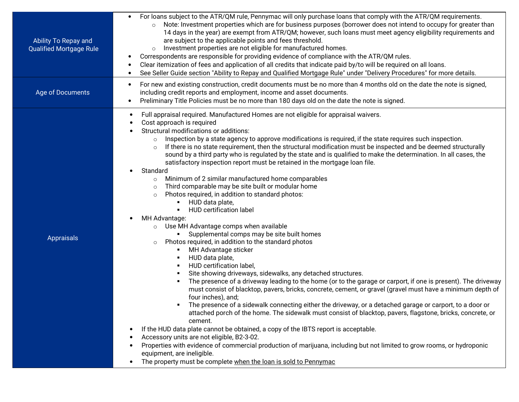| Ability To Repay and<br><b>Qualified Mortgage Rule</b> | For loans subject to the ATR/QM rule, Pennymac will only purchase loans that comply with the ATR/QM requirements.<br>Note: Investment properties which are for business purposes (borrower does not intend to occupy for greater than<br>14 days in the year) are exempt from ATR/QM; however, such loans must meet agency eligibility requirements and<br>are subject to the applicable points and fees threshold.<br>Investment properties are not eligible for manufactured homes.<br>$\circ$<br>Correspondents are responsible for providing evidence of compliance with the ATR/QM rules.<br>$\bullet$<br>Clear itemization of fees and application of all credits that indicate paid by/to will be required on all loans.<br>$\bullet$<br>See Seller Guide section "Ability to Repay and Qualified Mortgage Rule" under "Delivery Procedures" for more details.<br>$\bullet$                                                                                                                                                                                                                                                                                                                                                                                                                                                                                                                                                                                                                                                                                                                                                                                                                                                                                                                                                                                                                                                                                                                                                                                                                                        |
|--------------------------------------------------------|---------------------------------------------------------------------------------------------------------------------------------------------------------------------------------------------------------------------------------------------------------------------------------------------------------------------------------------------------------------------------------------------------------------------------------------------------------------------------------------------------------------------------------------------------------------------------------------------------------------------------------------------------------------------------------------------------------------------------------------------------------------------------------------------------------------------------------------------------------------------------------------------------------------------------------------------------------------------------------------------------------------------------------------------------------------------------------------------------------------------------------------------------------------------------------------------------------------------------------------------------------------------------------------------------------------------------------------------------------------------------------------------------------------------------------------------------------------------------------------------------------------------------------------------------------------------------------------------------------------------------------------------------------------------------------------------------------------------------------------------------------------------------------------------------------------------------------------------------------------------------------------------------------------------------------------------------------------------------------------------------------------------------------------------------------------------------------------------------------------------------|
| Age of Documents                                       | For new and existing construction, credit documents must be no more than 4 months old on the date the note is signed,<br>$\bullet$<br>including credit reports and employment, income and asset documents.<br>Preliminary Title Policies must be no more than 180 days old on the date the note is signed.<br>$\bullet$                                                                                                                                                                                                                                                                                                                                                                                                                                                                                                                                                                                                                                                                                                                                                                                                                                                                                                                                                                                                                                                                                                                                                                                                                                                                                                                                                                                                                                                                                                                                                                                                                                                                                                                                                                                                   |
| <b>Appraisals</b>                                      | Full appraisal required. Manufactured Homes are not eligible for appraisal waivers.<br>$\bullet$<br>Cost approach is required<br>Structural modifications or additions:<br>Inspection by a state agency to approve modifications is required, if the state requires such inspection.<br>If there is no state requirement, then the structural modification must be inspected and be deemed structurally<br>$\circ$<br>sound by a third party who is regulated by the state and is qualified to make the determination. In all cases, the<br>satisfactory inspection report must be retained in the mortgage loan file.<br>Standard<br>Minimum of 2 similar manufactured home comparables<br>$\circ$<br>Third comparable may be site built or modular home<br>$\circ$<br>Photos required, in addition to standard photos:<br>$\circ$<br>HUD data plate,<br>HUD certification label<br>MH Advantage:<br>$\bullet$<br>Use MH Advantage comps when available<br>$\circ$<br>Supplemental comps may be site built homes<br>Photos required, in addition to the standard photos<br>$\circ$<br>MH Advantage sticker<br>HUD data plate,<br>HUD certification label,<br>Site showing driveways, sidewalks, any detached structures.<br>The presence of a driveway leading to the home (or to the garage or carport, if one is present). The driveway<br>must consist of blacktop, pavers, bricks, concrete, cement, or gravel (gravel must have a minimum depth of<br>four inches), and;<br>The presence of a sidewalk connecting either the driveway, or a detached garage or carport, to a door or<br>attached porch of the home. The sidewalk must consist of blacktop, pavers, flagstone, bricks, concrete, or<br>cement.<br>If the HUD data plate cannot be obtained, a copy of the IBTS report is acceptable.<br>$\bullet$<br>Accessory units are not eligible, B2-3-02.<br>$\bullet$<br>Properties with evidence of commercial production of marijuana, including but not limited to grow rooms, or hydroponic<br>equipment, are ineligible.<br>The property must be complete when the loan is sold to Pennymac<br>$\bullet$ |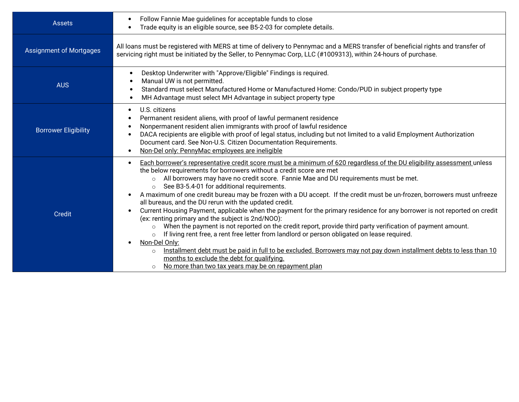| <b>Assets</b>                  | Follow Fannie Mae guidelines for acceptable funds to close<br>Trade equity is an eligible source, see B5-2-03 for complete details.                                                                                                                                                                                                                                                                                                                                                                                                                                                                                                                                                                                                                                                                                                                                                                                                                                                                                                                                                                                                                                                                               |
|--------------------------------|-------------------------------------------------------------------------------------------------------------------------------------------------------------------------------------------------------------------------------------------------------------------------------------------------------------------------------------------------------------------------------------------------------------------------------------------------------------------------------------------------------------------------------------------------------------------------------------------------------------------------------------------------------------------------------------------------------------------------------------------------------------------------------------------------------------------------------------------------------------------------------------------------------------------------------------------------------------------------------------------------------------------------------------------------------------------------------------------------------------------------------------------------------------------------------------------------------------------|
| <b>Assignment of Mortgages</b> | All loans must be registered with MERS at time of delivery to Pennymac and a MERS transfer of beneficial rights and transfer of<br>servicing right must be initiated by the Seller, to Pennymac Corp, LLC (#1009313), within 24-hours of purchase.                                                                                                                                                                                                                                                                                                                                                                                                                                                                                                                                                                                                                                                                                                                                                                                                                                                                                                                                                                |
| <b>AUS</b>                     | Desktop Underwriter with "Approve/Eligible" Findings is required.<br>$\bullet$<br>Manual UW is not permitted.<br>Standard must select Manufactured Home or Manufactured Home: Condo/PUD in subject property type<br>MH Advantage must select MH Advantage in subject property type<br>$\bullet$                                                                                                                                                                                                                                                                                                                                                                                                                                                                                                                                                                                                                                                                                                                                                                                                                                                                                                                   |
| <b>Borrower Eligibility</b>    | U.S. citizens<br>$\bullet$<br>Permanent resident aliens, with proof of lawful permanent residence<br>Nonpermanent resident alien immigrants with proof of lawful residence<br>DACA recipients are eligible with proof of legal status, including but not limited to a valid Employment Authorization<br>Document card. See Non-U.S. Citizen Documentation Requirements.<br>Non-Del only: PennyMac employees are ineligible                                                                                                                                                                                                                                                                                                                                                                                                                                                                                                                                                                                                                                                                                                                                                                                        |
| <b>Credit</b>                  | Each borrower's representative credit score must be a minimum of 620 regardless of the DU eligibility assessment unless<br>$\bullet$<br>the below requirements for borrowers without a credit score are met<br>o All borrowers may have no credit score. Fannie Mae and DU requirements must be met.<br>See B3-5.4-01 for additional requirements.<br>$\circ$<br>A maximum of one credit bureau may be frozen with a DU accept. If the credit must be un-frozen, borrowers must unfreeze<br>all bureaus, and the DU rerun with the updated credit.<br>Current Housing Payment, applicable when the payment for the primary residence for any borrower is not reported on credit<br>(ex: renting primary and the subject is 2nd/NOO):<br>$\circ$ When the payment is not reported on the credit report, provide third party verification of payment amount.<br>If living rent free, a rent free letter from landlord or person obligated on lease required.<br>Non-Del Only:<br>Installment debt must be paid in full to be excluded. Borrowers may not pay down installment debts to less than 10<br>$\circ$<br>months to exclude the debt for qualifying.<br>No more than two tax years may be on repayment plan |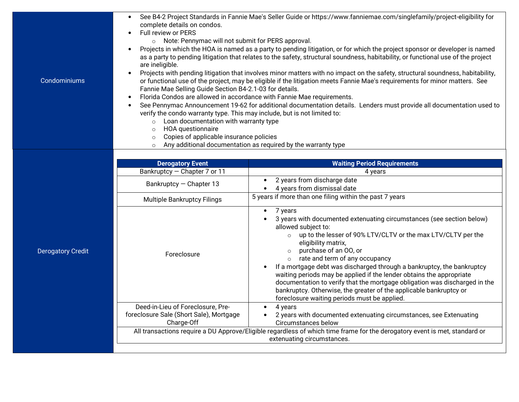| Full review or PERS<br>o Note: Pennymac will not submit for PERS approval.<br>are ineligible.<br>Condominiums<br>Fannie Mae Selling Guide Section B4-2.1-03 for details.<br>Florida Condos are allowed in accordance with Fannie Mae requirements.<br>verify the condo warranty type. This may include, but is not limited to:<br>Loan documentation with warranty type<br>$\circ$<br>HOA questionnaire<br>$\circ$<br>Copies of applicable insurance policies<br>$\circ$<br>Any additional documentation as required by the warranty type<br>$\circ$                                                                                                                                                     | See B4-2 Project Standards in Fannie Mae's Seller Guide or https://www.fanniemae.com/singlefamily/project-eligibility for<br>complete details on condos.<br>Projects in which the HOA is named as a party to pending litigation, or for which the project sponsor or developer is named<br>as a party to pending litigation that relates to the safety, structural soundness, habitability, or functional use of the project<br>Projects with pending litigation that involves minor matters with no impact on the safety, structural soundness, habitability,<br>or functional use of the project, may be eligible if the litigation meets Fannie Mae's requirements for minor matters. See<br>See Pennymac Announcement 19-62 for additional documentation details. Lenders must provide all documentation used to |  |  |  |
|----------------------------------------------------------------------------------------------------------------------------------------------------------------------------------------------------------------------------------------------------------------------------------------------------------------------------------------------------------------------------------------------------------------------------------------------------------------------------------------------------------------------------------------------------------------------------------------------------------------------------------------------------------------------------------------------------------|----------------------------------------------------------------------------------------------------------------------------------------------------------------------------------------------------------------------------------------------------------------------------------------------------------------------------------------------------------------------------------------------------------------------------------------------------------------------------------------------------------------------------------------------------------------------------------------------------------------------------------------------------------------------------------------------------------------------------------------------------------------------------------------------------------------------|--|--|--|
|                                                                                                                                                                                                                                                                                                                                                                                                                                                                                                                                                                                                                                                                                                          |                                                                                                                                                                                                                                                                                                                                                                                                                                                                                                                                                                                                                                                                                                                                                                                                                      |  |  |  |
| <b>Derogatory Event</b><br><b>Waiting Period Requirements</b>                                                                                                                                                                                                                                                                                                                                                                                                                                                                                                                                                                                                                                            |                                                                                                                                                                                                                                                                                                                                                                                                                                                                                                                                                                                                                                                                                                                                                                                                                      |  |  |  |
| Bankruptcy - Chapter 7 or 11<br>4 years                                                                                                                                                                                                                                                                                                                                                                                                                                                                                                                                                                                                                                                                  |                                                                                                                                                                                                                                                                                                                                                                                                                                                                                                                                                                                                                                                                                                                                                                                                                      |  |  |  |
| 2 years from discharge date<br>Bankruptcy - Chapter 13<br>4 years from dismissal date                                                                                                                                                                                                                                                                                                                                                                                                                                                                                                                                                                                                                    |                                                                                                                                                                                                                                                                                                                                                                                                                                                                                                                                                                                                                                                                                                                                                                                                                      |  |  |  |
| 5 years if more than one filing within the past 7 years<br><b>Multiple Bankruptcy Filings</b>                                                                                                                                                                                                                                                                                                                                                                                                                                                                                                                                                                                                            |                                                                                                                                                                                                                                                                                                                                                                                                                                                                                                                                                                                                                                                                                                                                                                                                                      |  |  |  |
| 7 years<br>$\bullet$<br>3 years with documented extenuating circumstances (see section below)<br>allowed subject to:<br>up to the lesser of 90% LTV/CLTV or the max LTV/CLTV per the<br>$\circ$<br>eligibility matrix,<br>purchase of an OO, or<br><b>Derogatory Credit</b><br>$\circ$<br>Foreclosure<br>rate and term of any occupancy<br>$\circ$<br>If a mortgage debt was discharged through a bankruptcy, the bankruptcy<br>waiting periods may be applied if the lender obtains the appropriate<br>documentation to verify that the mortgage obligation was discharged in the<br>bankruptcy. Otherwise, the greater of the applicable bankruptcy or<br>foreclosure waiting periods must be applied. |                                                                                                                                                                                                                                                                                                                                                                                                                                                                                                                                                                                                                                                                                                                                                                                                                      |  |  |  |
| Deed-in-Lieu of Foreclosure, Pre-<br>4 years<br>$\bullet$<br>foreclosure Sale (Short Sale), Mortgage<br>2 years with documented extenuating circumstances, see Extenuating                                                                                                                                                                                                                                                                                                                                                                                                                                                                                                                               |                                                                                                                                                                                                                                                                                                                                                                                                                                                                                                                                                                                                                                                                                                                                                                                                                      |  |  |  |
| Charge-Off<br>Circumstances below                                                                                                                                                                                                                                                                                                                                                                                                                                                                                                                                                                                                                                                                        |                                                                                                                                                                                                                                                                                                                                                                                                                                                                                                                                                                                                                                                                                                                                                                                                                      |  |  |  |
| All transactions require a DU Approve/Eligible regardless of which time frame for the derogatory event is met, standard or<br>extenuating circumstances.                                                                                                                                                                                                                                                                                                                                                                                                                                                                                                                                                 |                                                                                                                                                                                                                                                                                                                                                                                                                                                                                                                                                                                                                                                                                                                                                                                                                      |  |  |  |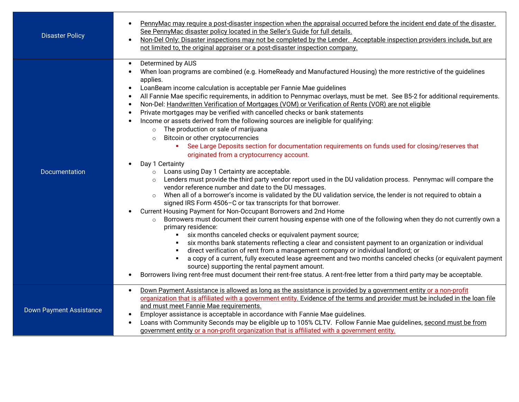| <b>Disaster Policy</b>         | PennyMac may require a post-disaster inspection when the appraisal occurred before the incident end date of the disaster.<br>$\bullet$<br>See PennyMac disaster policy located in the Seller's Guide for full details.<br>Non-Del Only: Disaster inspections may not be completed by the Lender. Acceptable inspection providers include, but are<br>$\bullet$<br>not limited to, the original appraiser or a post-disaster inspection company.                                                                                                                                                                                                                                                                                                                                                                                                                                                                                                                                                                                                                                                                                                                                                                                                                                                                                                                                                                                                                                                                                                                                                                                                                                                                                                                                                                                                                                                                                                                                                                                                                                                                                                                                                                                 |
|--------------------------------|---------------------------------------------------------------------------------------------------------------------------------------------------------------------------------------------------------------------------------------------------------------------------------------------------------------------------------------------------------------------------------------------------------------------------------------------------------------------------------------------------------------------------------------------------------------------------------------------------------------------------------------------------------------------------------------------------------------------------------------------------------------------------------------------------------------------------------------------------------------------------------------------------------------------------------------------------------------------------------------------------------------------------------------------------------------------------------------------------------------------------------------------------------------------------------------------------------------------------------------------------------------------------------------------------------------------------------------------------------------------------------------------------------------------------------------------------------------------------------------------------------------------------------------------------------------------------------------------------------------------------------------------------------------------------------------------------------------------------------------------------------------------------------------------------------------------------------------------------------------------------------------------------------------------------------------------------------------------------------------------------------------------------------------------------------------------------------------------------------------------------------------------------------------------------------------------------------------------------------|
| Documentation                  | Determined by AUS<br>$\bullet$<br>When loan programs are combined (e.g. HomeReady and Manufactured Housing) the more restrictive of the guidelines<br>applies.<br>LoanBeam income calculation is acceptable per Fannie Mae guidelines<br>$\bullet$<br>All Fannie Mae specific requirements, in addition to Pennymac overlays, must be met. See B5-2 for additional requirements.<br>$\bullet$<br>Non-Del: Handwritten Verification of Mortgages (VOM) or Verification of Rents (VOR) are not eligible<br>$\bullet$<br>Private mortgages may be verified with cancelled checks or bank statements<br>Income or assets derived from the following sources are ineligible for qualifying:<br>The production or sale of marijuana<br>$\circ$<br>Bitcoin or other cryptocurrencies<br>$\circ$<br>See Large Deposits section for documentation requirements on funds used for closing/reserves that<br>originated from a cryptocurrency account.<br>Day 1 Certainty<br>$\bullet$<br>Loans using Day 1 Certainty are acceptable.<br>$\circ$<br>Lenders must provide the third party vendor report used in the DU validation process. Pennymac will compare the<br>vendor reference number and date to the DU messages.<br>When all of a borrower's income is validated by the DU validation service, the lender is not required to obtain a<br>$\circ$<br>signed IRS Form 4506-C or tax transcripts for that borrower.<br>Current Housing Payment for Non-Occupant Borrowers and 2nd Home<br>Borrowers must document their current housing expense with one of the following when they do not currently own a<br>$\circ$<br>primary residence:<br>six months canceled checks or equivalent payment source;<br>$\blacksquare$<br>six months bank statements reflecting a clear and consistent payment to an organization or individual<br>$\blacksquare$<br>direct verification of rent from a management company or individual landlord; or<br>a copy of a current, fully executed lease agreement and two months canceled checks (or equivalent payment<br>source) supporting the rental payment amount.<br>Borrowers living rent-free must document their rent-free status. A rent-free letter from a third party may be acceptable. |
| <b>Down Payment Assistance</b> | Down Payment Assistance is allowed as long as the assistance is provided by a government entity or a non-profit<br>$\bullet$<br>organization that is affiliated with a government entity. Evidence of the terms and provider must be included in the loan file<br>and must meet Fannie Mae requirements.<br>Employer assistance is acceptable in accordance with Fannie Mae guidelines.<br>Loans with Community Seconds may be eligible up to 105% CLTV. Follow Fannie Mae guidelines, second must be from<br>government entity or a non-profit organization that is affiliated with a government entity.                                                                                                                                                                                                                                                                                                                                                                                                                                                                                                                                                                                                                                                                                                                                                                                                                                                                                                                                                                                                                                                                                                                                                                                                                                                                                                                                                                                                                                                                                                                                                                                                                       |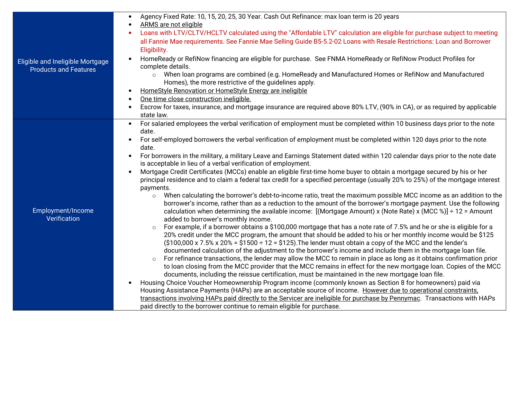| Eligible and Ineligible Mortgage<br><b>Products and Features</b> | Agency Fixed Rate: 10, 15, 20, 25, 30 Year. Cash Out Refinance: max loan term is 20 years                                                                                                            |
|------------------------------------------------------------------|------------------------------------------------------------------------------------------------------------------------------------------------------------------------------------------------------|
|                                                                  | ARMS are not eligible                                                                                                                                                                                |
|                                                                  | Loans with LTV/CLTV/HCLTV calculated using the "Affordable LTV" calculation are eligible for purchase subject to meeting                                                                             |
|                                                                  | all Fannie Mae requirements. See Fannie Mae Selling Guide B5-5.2-02 Loans with Resale Restrictions: Loan and Borrower                                                                                |
|                                                                  | Eligibility.                                                                                                                                                                                         |
|                                                                  | HomeReady or RefiNow financing are eligible for purchase. See FNMA HomeReady or RefiNow Product Profiles for                                                                                         |
|                                                                  | complete details.                                                                                                                                                                                    |
|                                                                  | When loan programs are combined (e.g. HomeReady and Manufactured Homes or RefiNow and Manufactured<br>$\circ$                                                                                        |
|                                                                  | Homes), the more restrictive of the guidelines apply.                                                                                                                                                |
|                                                                  | HomeStyle Renovation or HomeStyle Energy are ineligible                                                                                                                                              |
|                                                                  | One time close construction ineligible.                                                                                                                                                              |
|                                                                  | Escrow for taxes, insurance, and mortgage insurance are required above 80% LTV, (90% in CA), or as required by applicable                                                                            |
|                                                                  | state law.                                                                                                                                                                                           |
|                                                                  | For salaried employees the verbal verification of employment must be completed within 10 business days prior to the note<br>$\bullet$                                                                |
|                                                                  | date.                                                                                                                                                                                                |
|                                                                  | For self-employed borrowers the verbal verification of employment must be completed within 120 days prior to the note                                                                                |
|                                                                  | date.                                                                                                                                                                                                |
|                                                                  | For borrowers in the military, a military Leave and Earnings Statement dated within 120 calendar days prior to the note date                                                                         |
|                                                                  | is acceptable in lieu of a verbal verification of employment.                                                                                                                                        |
|                                                                  | Mortgage Credit Certificates (MCCs) enable an eligible first-time home buyer to obtain a mortgage secured by his or her                                                                              |
|                                                                  | principal residence and to claim a federal tax credit for a specified percentage (usually 20% to 25%) of the mortgage interest                                                                       |
|                                                                  | payments.                                                                                                                                                                                            |
|                                                                  | When calculating the borrower's debt-to-income ratio, treat the maximum possible MCC income as an addition to the<br>$\circ$                                                                         |
|                                                                  | borrower's income, rather than as a reduction to the amount of the borrower's mortgage payment. Use the following                                                                                    |
| Employment/Income                                                | calculation when determining the available income: [(Mortgage Amount) x (Note Rate) x (MCC %)] ÷ 12 = Amount                                                                                         |
| Verification                                                     | added to borrower's monthly income.                                                                                                                                                                  |
|                                                                  | For example, if a borrower obtains a \$100,000 mortgage that has a note rate of 7.5% and he or she is eligible for a<br>$\circ$                                                                      |
|                                                                  | 20% credit under the MCC program, the amount that should be added to his or her monthly income would be \$125                                                                                        |
|                                                                  | $(\$100,000 \times 7.5\% \times 20\% = \$1500 \div 12 = \$125)$ . The lender must obtain a copy of the MCC and the lender's                                                                          |
|                                                                  | documented calculation of the adjustment to the borrower's income and include them in the mortgage loan file.                                                                                        |
|                                                                  | For refinance transactions, the lender may allow the MCC to remain in place as long as it obtains confirmation prior<br>$\circ$                                                                      |
|                                                                  | to loan closing from the MCC provider that the MCC remains in effect for the new mortgage loan. Copies of the MCC                                                                                    |
|                                                                  | documents, including the reissue certification, must be maintained in the new mortgage loan file.                                                                                                    |
|                                                                  | Housing Choice Voucher Homeownership Program income (commonly known as Section 8 for homeowners) paid via                                                                                            |
|                                                                  | Housing Assistance Payments (HAPs) are an acceptable source of income. However due to operational constraints,                                                                                       |
|                                                                  | transactions involving HAPs paid directly to the Servicer are ineligible for purchase by Pennymac. Transactions with HAPs<br>paid directly to the borrower continue to remain eligible for purchase. |
|                                                                  |                                                                                                                                                                                                      |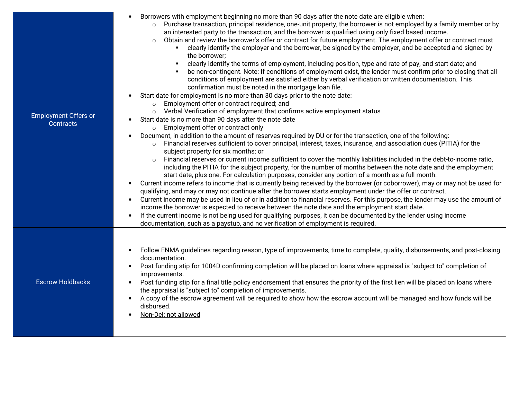|                             | Borrowers with employment beginning no more than 90 days after the note date are eligible when:                                                          |
|-----------------------------|----------------------------------------------------------------------------------------------------------------------------------------------------------|
|                             | Purchase transaction, principal residence, one-unit property, the borrower is not employed by a family member or by                                      |
|                             | an interested party to the transaction, and the borrower is qualified using only fixed based income.                                                     |
|                             | Obtain and review the borrower's offer or contract for future employment. The employment offer or contract must<br>$\circ$                               |
|                             | clearly identify the employer and the borrower, be signed by the employer, and be accepted and signed by<br>٠.                                           |
|                             | the borrower;                                                                                                                                            |
|                             | clearly identify the terms of employment, including position, type and rate of pay, and start date; and                                                  |
|                             | be non-contingent. Note: If conditions of employment exist, the lender must confirm prior to closing that all                                            |
|                             | conditions of employment are satisfied either by verbal verification or written documentation. This                                                      |
|                             | confirmation must be noted in the mortgage loan file.                                                                                                    |
|                             | Start date for employment is no more than 30 days prior to the note date:                                                                                |
|                             | Employment offer or contract required; and                                                                                                               |
| <b>Employment Offers or</b> | Verbal Verification of employment that confirms active employment status<br>$\circ$                                                                      |
| Contracts                   | Start date is no more than 90 days after the note date<br>Employment offer or contract only<br>$\circ$                                                   |
|                             | Document, in addition to the amount of reserves required by DU or for the transaction, one of the following:<br>$\bullet$                                |
|                             | Financial reserves sufficient to cover principal, interest, taxes, insurance, and association dues (PITIA) for the<br>$\circ$                            |
|                             | subject property for six months; or                                                                                                                      |
|                             | Financial reserves or current income sufficient to cover the monthly liabilities included in the debt-to-income ratio,<br>$\circ$                        |
|                             | including the PITIA for the subject property, for the number of months between the note date and the employment                                          |
|                             | start date, plus one. For calculation purposes, consider any portion of a month as a full month.                                                         |
|                             | Current income refers to income that is currently being received by the borrower (or coborrower), may or may not be used for<br>$\bullet$                |
|                             | qualifying, and may or may not continue after the borrower starts employment under the offer or contract.                                                |
|                             | Current income may be used in lieu of or in addition to financial reserves. For this purpose, the lender may use the amount of<br>$\bullet$              |
|                             | income the borrower is expected to receive between the note date and the employment start date.                                                          |
|                             | If the current income is not being used for qualifying purposes, it can be documented by the lender using income<br>$\bullet$                            |
|                             | documentation, such as a paystub, and no verification of employment is required.                                                                         |
|                             |                                                                                                                                                          |
|                             |                                                                                                                                                          |
|                             | Follow FNMA guidelines regarding reason, type of improvements, time to complete, quality, disbursements, and post-closing<br>$\bullet$<br>documentation. |
|                             | Post funding stip for 1004D confirming completion will be placed on loans where appraisal is "subject to" completion of<br>$\bullet$                     |
|                             | improvements.                                                                                                                                            |
| <b>Escrow Holdbacks</b>     | Post funding stip for a final title policy endorsement that ensures the priority of the first lien will be placed on loans where<br>$\bullet$            |
|                             | the appraisal is "subject to" completion of improvements.                                                                                                |
|                             | A copy of the escrow agreement will be required to show how the escrow account will be managed and how funds will be                                     |
|                             | disbursed.                                                                                                                                               |
|                             | Non-Del: not allowed                                                                                                                                     |
|                             |                                                                                                                                                          |
|                             |                                                                                                                                                          |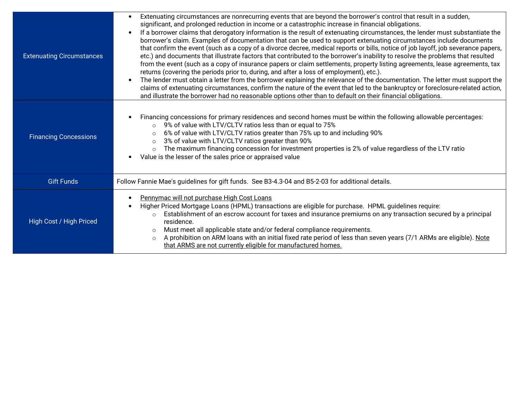| <b>Extenuating Circumstances</b> | Extenuating circumstances are nonrecurring events that are beyond the borrower's control that result in a sudden,<br>significant, and prolonged reduction in income or a catastrophic increase in financial obligations.<br>If a borrower claims that derogatory information is the result of extenuating circumstances, the lender must substantiate the<br>borrower's claim. Examples of documentation that can be used to support extenuating circumstances include documents<br>that confirm the event (such as a copy of a divorce decree, medical reports or bills, notice of job layoff, job severance papers,<br>etc.) and documents that illustrate factors that contributed to the borrower's inability to resolve the problems that resulted<br>from the event (such as a copy of insurance papers or claim settlements, property listing agreements, lease agreements, tax<br>returns (covering the periods prior to, during, and after a loss of employment), etc.).<br>The lender must obtain a letter from the borrower explaining the relevance of the documentation. The letter must support the<br>claims of extenuating circumstances, confirm the nature of the event that led to the bankruptcy or foreclosure-related action,<br>and illustrate the borrower had no reasonable options other than to default on their financial obligations. |
|----------------------------------|--------------------------------------------------------------------------------------------------------------------------------------------------------------------------------------------------------------------------------------------------------------------------------------------------------------------------------------------------------------------------------------------------------------------------------------------------------------------------------------------------------------------------------------------------------------------------------------------------------------------------------------------------------------------------------------------------------------------------------------------------------------------------------------------------------------------------------------------------------------------------------------------------------------------------------------------------------------------------------------------------------------------------------------------------------------------------------------------------------------------------------------------------------------------------------------------------------------------------------------------------------------------------------------------------------------------------------------------------------------------|
| <b>Financing Concessions</b>     | Financing concessions for primary residences and second homes must be within the following allowable percentages:<br>9% of value with LTV/CLTV ratios less than or equal to 75%<br>$\circ$<br>6% of value with LTV/CLTV ratios greater than 75% up to and including 90%<br>$\circ$<br>3% of value with LTV/CLTV ratios greater than 90%<br>$\circ$<br>The maximum financing concession for investment properties is 2% of value regardless of the LTV ratio<br>$\circ$<br>Value is the lesser of the sales price or appraised value                                                                                                                                                                                                                                                                                                                                                                                                                                                                                                                                                                                                                                                                                                                                                                                                                                |
| <b>Gift Funds</b>                | Follow Fannie Mae's guidelines for gift funds. See B3-4.3-04 and B5-2-03 for additional details.                                                                                                                                                                                                                                                                                                                                                                                                                                                                                                                                                                                                                                                                                                                                                                                                                                                                                                                                                                                                                                                                                                                                                                                                                                                                   |
| High Cost / High Priced          | Pennymac will not purchase High Cost Loans<br>Higher Priced Mortgage Loans (HPML) transactions are eligible for purchase. HPML guidelines require:<br>Establishment of an escrow account for taxes and insurance premiums on any transaction secured by a principal<br>$\Omega$<br>residence.<br>Must meet all applicable state and/or federal compliance requirements.<br>$\circ$<br>A prohibition on ARM loans with an initial fixed rate period of less than seven years (7/1 ARMs are eligible). Note<br>$\circ$<br>that ARMS are not currently eligible for manufactured homes.                                                                                                                                                                                                                                                                                                                                                                                                                                                                                                                                                                                                                                                                                                                                                                               |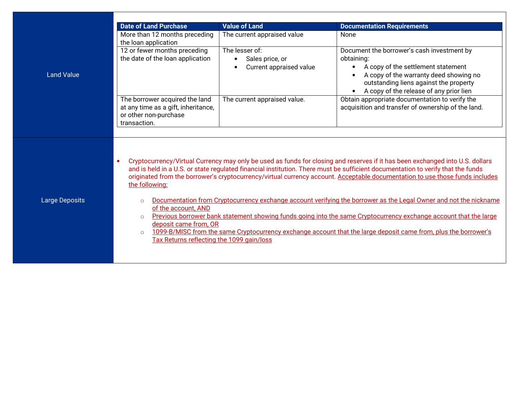|                   | <b>Date of Land Purchase</b>                                                                                   | <b>Value of Land</b>                                                      | <b>Documentation Requirements</b>                                                                                                                                                                                                                                                                                                                                                                |
|-------------------|----------------------------------------------------------------------------------------------------------------|---------------------------------------------------------------------------|--------------------------------------------------------------------------------------------------------------------------------------------------------------------------------------------------------------------------------------------------------------------------------------------------------------------------------------------------------------------------------------------------|
|                   | More than 12 months preceding<br>the loan application                                                          | The current appraised value                                               | None                                                                                                                                                                                                                                                                                                                                                                                             |
| <b>Land Value</b> | 12 or fewer months preceding<br>the date of the loan application                                               | The lesser of:<br>Sales price, or<br>$\bullet$<br>Current appraised value | Document the borrower's cash investment by<br>obtaining:<br>A copy of the settlement statement<br>$\bullet$<br>A copy of the warranty deed showing no<br>outstanding liens against the property<br>A copy of the release of any prior lien                                                                                                                                                       |
|                   | The borrower acquired the land<br>at any time as a gift, inheritance,<br>or other non-purchase<br>transaction. | The current appraised value.                                              | Obtain appropriate documentation to verify the<br>acquisition and transfer of ownership of the land.                                                                                                                                                                                                                                                                                             |
|                   |                                                                                                                |                                                                           | Cryptocurrency/Virtual Currency may only be used as funds for closing and reserves if it has been exchanged into U.S. dollars<br>and is held in a U.S. or state regulated financial institution. There must be sufficient documentation to verify that the funds<br>originated from the borrower's cryptocurrency/virtual currency account. Acceptable documentation to use those funds includes |
|                   | the following:                                                                                                 |                                                                           |                                                                                                                                                                                                                                                                                                                                                                                                  |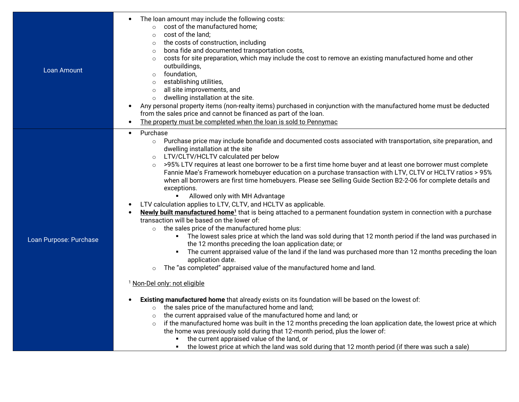| Loan Amount            | The loan amount may include the following costs:<br>cost of the manufactured home;<br>cost of the land;<br>$\circ$<br>the costs of construction, including<br>$\circ$<br>bona fide and documented transportation costs,<br>$\circ$<br>costs for site preparation, which may include the cost to remove an existing manufactured home and other<br>$\circ$<br>outbuildings,<br>foundation,<br>$\circ$<br>establishing utilities,<br>$\circ$<br>all site improvements, and<br>$\circ$<br>dwelling installation at the site.<br>$\circ$<br>Any personal property items (non-realty items) purchased in conjunction with the manufactured home must be deducted<br>from the sales price and cannot be financed as part of the loan.<br>The property must be completed when the loan is sold to Pennymac<br>$\bullet$                                                                                                                                                                                                                                                                                                                                                                                                                                                                                                                                                                                                                                                                                                                                                                                                                                                                                                                                                                                                                                                                                     |
|------------------------|------------------------------------------------------------------------------------------------------------------------------------------------------------------------------------------------------------------------------------------------------------------------------------------------------------------------------------------------------------------------------------------------------------------------------------------------------------------------------------------------------------------------------------------------------------------------------------------------------------------------------------------------------------------------------------------------------------------------------------------------------------------------------------------------------------------------------------------------------------------------------------------------------------------------------------------------------------------------------------------------------------------------------------------------------------------------------------------------------------------------------------------------------------------------------------------------------------------------------------------------------------------------------------------------------------------------------------------------------------------------------------------------------------------------------------------------------------------------------------------------------------------------------------------------------------------------------------------------------------------------------------------------------------------------------------------------------------------------------------------------------------------------------------------------------------------------------------------------------------------------------------------------------|
| Loan Purpose: Purchase | Purchase<br>$\bullet$<br>Purchase price may include bonafide and documented costs associated with transportation, site preparation, and<br>$\circ$<br>dwelling installation at the site<br>LTV/CLTV/HCLTV calculated per below<br>$\circ$<br>>95% LTV requires at least one borrower to be a first time home buyer and at least one borrower must complete<br>$\circ$<br>Fannie Mae's Framework homebuyer education on a purchase transaction with LTV, CLTV or HCLTV ratios > 95%<br>when all borrowers are first time homebuyers. Please see Selling Guide Section B2-2-06 for complete details and<br>exceptions.<br>Allowed only with MH Advantage<br>$\blacksquare$<br>LTV calculation applies to LTV, CLTV, and HCLTV as applicable.<br>Newly built manufactured home <sup>1</sup> that is being attached to a permanent foundation system in connection with a purchase<br>transaction will be based on the lower of:<br>o the sales price of the manufactured home plus:<br>• The lowest sales price at which the land was sold during that 12 month period if the land was purchased in<br>the 12 months preceding the loan application date; or<br>The current appraised value of the land if the land was purchased more than 12 months preceding the loan<br>٠<br>application date.<br>The "as completed" appraised value of the manufactured home and land.<br>$\circ$<br><sup>1</sup> Non-Del only: not eligible<br>Existing manufactured home that already exists on its foundation will be based on the lowest of:<br>the sales price of the manufactured home and land;<br>$\circ$<br>the current appraised value of the manufactured home and land; or<br>$\circ$<br>if the manufactured home was built in the 12 months preceding the loan application date, the lowest price at which<br>$\circ$<br>the home was previously sold during that 12-month period, plus the lower of: |
|                        | the current appraised value of the land, or<br>the lowest price at which the land was sold during that 12 month period (if there was such a sale)                                                                                                                                                                                                                                                                                                                                                                                                                                                                                                                                                                                                                                                                                                                                                                                                                                                                                                                                                                                                                                                                                                                                                                                                                                                                                                                                                                                                                                                                                                                                                                                                                                                                                                                                                    |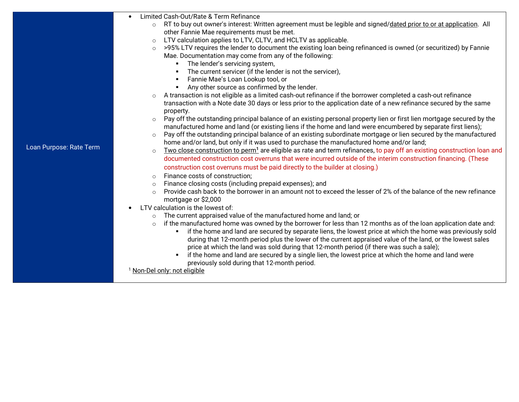- • Limited Cash-Out/Rate & Term Refinance
	- $\circ$  RT to buy out owner's interest: Written agreement must be legible and signed/<u>dated prior to or at application</u>. All other Fannie Mae requirements must be met.
	- $\circ$  LTV calculation applies to LTV, CLTV, and HCLTV as applicable. o
	- o >95% LTV requires the lender to document the existing loan being refinanced is owned (or securitized) by Fannie Mae. Documentation may come from any of the following:
		- The lender's servicing system,
		- The current servicer (if the lender is not the servicer),
		- $\mathbf{H}^{\text{max}}$ Fannie Mae's Loan Lookup tool, or
		- Any other source as confirmed by the lender.
	- o A transaction is not eligible as a limited cash-out refinance if the borrower completed a cash-out refinance transaction with a Note date 30 days or less prior to the application date of a new refinance secured by the same property.
	- Pay off the outstanding principal balance of an existing personal property lien or first lien mortgage secured by the omanufactured home and land (or existing liens if the home and land were encumbered by separate first liens);
	- Pay off the outstanding principal balance of an existing subordinate mortgage or lien secured by the manufactured ohome and/or land, but only if it was used to purchase the manufactured home and/or land;
	- $\circ$  Two close construction to perm<sup>1</sup> are eligible as rate and term refinances, to pay off an existing construction loan and odocumented construction cost overruns that were incurred outside of the interim construction financing. (These construction cost overruns must be paid directly to the builder at closing.)
	- oFinance costs of construction;
	- oFinance closing costs (including prepaid expenses); and
	- o Provide cash back to the borrower in an amount not to exceed the lesser of 2% of the balance of the new refinance mortgage or \$2,000
- LTV calculation is the lowest of: •
	- oThe current appraised value of the manufactured home and land; or
	- o if the manufactured home was owned by the borrower for less than 12 months as of the loan application date and:
		- $\quad \bullet \quad$  if the home and land are secured by separate liens, the lowest price at which the home was previously sold during that 12-month period plus the lower of the current appraised value of the land, or the lowest sales price at which the land was sold during that 12-month period (if there was such a sale);
		- if the home and land are secured by a single lien, the lowest price at which the home and land were previously sold during that 12-month period.

<sup>1</sup> Non-Del only: not eligible

Loan Purpose: Rate Term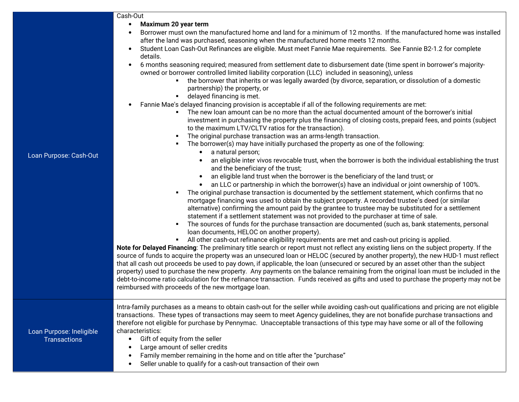|                                                 | Cash-Out                                                                                                                                                                                                                                                                                                                                                                                                                                                                                                                                                                                                                                                                                                                                                                                                                                                                                                                                                                                                                                                                                                                                                                                                                                                                                                                                                                                                                                                                                                                                                                                                                                                                                                                                                                                                                     |
|-------------------------------------------------|------------------------------------------------------------------------------------------------------------------------------------------------------------------------------------------------------------------------------------------------------------------------------------------------------------------------------------------------------------------------------------------------------------------------------------------------------------------------------------------------------------------------------------------------------------------------------------------------------------------------------------------------------------------------------------------------------------------------------------------------------------------------------------------------------------------------------------------------------------------------------------------------------------------------------------------------------------------------------------------------------------------------------------------------------------------------------------------------------------------------------------------------------------------------------------------------------------------------------------------------------------------------------------------------------------------------------------------------------------------------------------------------------------------------------------------------------------------------------------------------------------------------------------------------------------------------------------------------------------------------------------------------------------------------------------------------------------------------------------------------------------------------------------------------------------------------------|
|                                                 | Maximum 20 year term<br>$\bullet$<br>Borrower must own the manufactured home and land for a minimum of 12 months. If the manufactured home was installed<br>after the land was purchased, seasoning when the manufactured home meets 12 months.<br>Student Loan Cash-Out Refinances are eligible. Must meet Fannie Mae requirements. See Fannie B2-1.2 for complete<br>$\bullet$<br>details.<br>6 months seasoning required; measured from settlement date to disbursement date (time spent in borrower's majority-<br>$\bullet$<br>owned or borrower controlled limited liability corporation (LLC) included in seasoning), unless<br>the borrower that inherits or was legally awarded (by divorce, separation, or dissolution of a domestic<br>partnership) the property, or                                                                                                                                                                                                                                                                                                                                                                                                                                                                                                                                                                                                                                                                                                                                                                                                                                                                                                                                                                                                                                              |
|                                                 | • delayed financing is met.<br>Fannie Mae's delayed financing provision is acceptable if all of the following requirements are met:<br>The new loan amount can be no more than the actual documented amount of the borrower's initial<br>investment in purchasing the property plus the financing of closing costs, prepaid fees, and points (subject<br>to the maximum LTV/CLTV ratios for the transaction).<br>The original purchase transaction was an arms-length transaction.<br>The borrower(s) may have initially purchased the property as one of the following:                                                                                                                                                                                                                                                                                                                                                                                                                                                                                                                                                                                                                                                                                                                                                                                                                                                                                                                                                                                                                                                                                                                                                                                                                                                     |
| Loan Purpose: Cash-Out                          | a natural person;<br>$\bullet$<br>an eligible inter vivos revocable trust, when the borrower is both the individual establishing the trust<br>$\bullet$<br>and the beneficiary of the trust;<br>an eligible land trust when the borrower is the beneficiary of the land trust; or<br>an LLC or partnership in which the borrower(s) have an individual or joint ownership of 100%.<br>$\bullet$<br>The original purchase transaction is documented by the settlement statement, which confirms that no<br>mortgage financing was used to obtain the subject property. A recorded trustee's deed (or similar<br>alternative) confirming the amount paid by the grantee to trustee may be substituted for a settlement<br>statement if a settlement statement was not provided to the purchaser at time of sale.<br>The sources of funds for the purchase transaction are documented (such as, bank statements, personal<br>loan documents, HELOC on another property).<br>All other cash-out refinance eligibility requirements are met and cash-out pricing is applied.<br>Note for Delayed Financing: The preliminary title search or report must not reflect any existing liens on the subject property. If the<br>source of funds to acquire the property was an unsecured loan or HELOC (secured by another property), the new HUD-1 must reflect<br>that all cash out proceeds be used to pay down, if applicable, the loan (unsecured or secured by an asset other than the subject<br>property) used to purchase the new property. Any payments on the balance remaining from the original loan must be included in the<br>debt-to-income ratio calculation for the refinance transaction. Funds received as gifts and used to purchase the property may not be<br>reimbursed with proceeds of the new mortgage loan. |
| Loan Purpose: Ineligible<br><b>Transactions</b> | Intra-family purchases as a means to obtain cash-out for the seller while avoiding cash-out qualifications and pricing are not eligible<br>transactions. These types of transactions may seem to meet Agency guidelines, they are not bonafide purchase transactions and<br>therefore not eligible for purchase by Pennymac. Unacceptable transactions of this type may have some or all of the following<br>characteristics:<br>Gift of equity from the seller<br>$\bullet$<br>Large amount of seller credits<br>Family member remaining in the home and on title after the "purchase"<br>Seller unable to qualify for a cash-out transaction of their own<br>$\bullet$                                                                                                                                                                                                                                                                                                                                                                                                                                                                                                                                                                                                                                                                                                                                                                                                                                                                                                                                                                                                                                                                                                                                                     |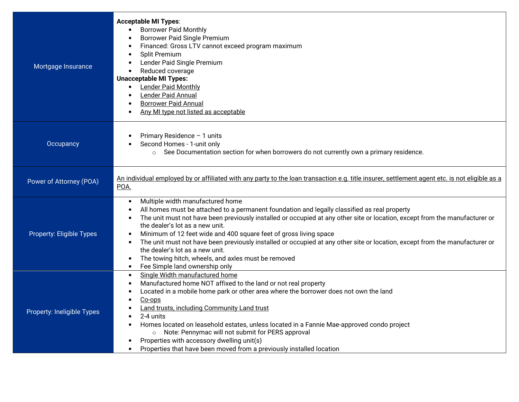| Mortgage Insurance         | <b>Acceptable MI Types:</b><br><b>Borrower Paid Monthly</b><br>$\bullet$<br><b>Borrower Paid Single Premium</b><br>Financed: Gross LTV cannot exceed program maximum<br>Split Premium<br>Lender Paid Single Premium<br>Reduced coverage<br><b>Unacceptable MI Types:</b><br><b>Lender Paid Monthly</b><br>$\bullet$<br>Lender Paid Annual<br><b>Borrower Paid Annual</b><br>Any MI type not listed as acceptable                                                                                                                                                                                                                                                                       |
|----------------------------|----------------------------------------------------------------------------------------------------------------------------------------------------------------------------------------------------------------------------------------------------------------------------------------------------------------------------------------------------------------------------------------------------------------------------------------------------------------------------------------------------------------------------------------------------------------------------------------------------------------------------------------------------------------------------------------|
| Occupancy                  | Primary Residence - 1 units<br>Second Homes - 1-unit only<br>o See Documentation section for when borrowers do not currently own a primary residence.                                                                                                                                                                                                                                                                                                                                                                                                                                                                                                                                  |
| Power of Attorney (POA)    | An individual employed by or affiliated with any party to the loan transaction e.g. title insurer, settlement agent etc. is not eligible as a<br>POA.                                                                                                                                                                                                                                                                                                                                                                                                                                                                                                                                  |
| Property: Eligible Types   | Multiple width manufactured home<br>$\bullet$<br>All homes must be attached to a permanent foundation and legally classified as real property<br>The unit must not have been previously installed or occupied at any other site or location, except from the manufacturer or<br>$\bullet$<br>the dealer's lot as a new unit.<br>Minimum of 12 feet wide and 400 square feet of gross living space<br>The unit must not have been previously installed or occupied at any other site or location, except from the manufacturer or<br>$\bullet$<br>the dealer's lot as a new unit.<br>The towing hitch, wheels, and axles must be removed<br>Fee Simple land ownership only<br>$\bullet$ |
| Property: Ineligible Types | Single Width manufactured home<br>$\bullet$<br>Manufactured home NOT affixed to the land or not real property<br>$\bullet$<br>Located in a mobile home park or other area where the borrower does not own the land<br>Co-ops<br>Land trusts, including Community Land trust<br>2-4 units<br>Homes located on leasehold estates, unless located in a Fannie Mae-approved condo project<br>$\bullet$<br>Note: Pennymac will not submit for PERS approval<br>$\circ$<br>Properties with accessory dwelling unit(s)<br>Properties that have been moved from a previously installed location<br>$\bullet$                                                                                   |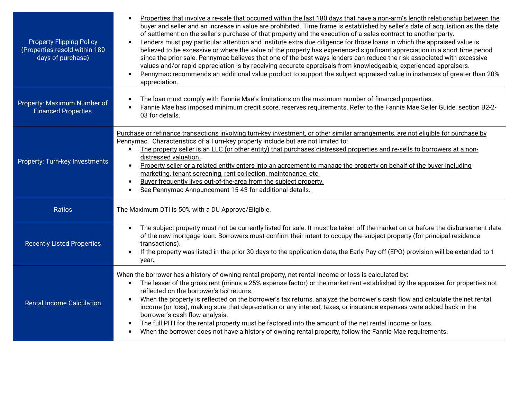| <b>Property Flipping Policy</b><br>(Properties resold within 180<br>days of purchase) | Properties that involve a re-sale that occurred within the last 180 days that have a non-arm's length relationship between the<br>buyer and seller and an increase in value are prohibited. Time frame is established by seller's date of acquisition as the date<br>of settlement on the seller's purchase of that property and the execution of a sales contract to another party.<br>Lenders must pay particular attention and institute extra due diligence for those loans in which the appraised value is<br>believed to be excessive or where the value of the property has experienced significant appreciation in a short time period<br>since the prior sale. Pennymac believes that one of the best ways lenders can reduce the risk associated with excessive<br>values and/or rapid appreciation is by receiving accurate appraisals from knowledgeable, experienced appraisers.<br>Pennymac recommends an additional value product to support the subject appraised value in instances of greater than 20%<br>appreciation. |
|---------------------------------------------------------------------------------------|-------------------------------------------------------------------------------------------------------------------------------------------------------------------------------------------------------------------------------------------------------------------------------------------------------------------------------------------------------------------------------------------------------------------------------------------------------------------------------------------------------------------------------------------------------------------------------------------------------------------------------------------------------------------------------------------------------------------------------------------------------------------------------------------------------------------------------------------------------------------------------------------------------------------------------------------------------------------------------------------------------------------------------------------|
| Property: Maximum Number of<br><b>Financed Properties</b>                             | The loan must comply with Fannie Mae's limitations on the maximum number of financed properties.<br>Fannie Mae has imposed minimum credit score, reserves requirements. Refer to the Fannie Mae Seller Guide, section B2-2-<br>03 for details.                                                                                                                                                                                                                                                                                                                                                                                                                                                                                                                                                                                                                                                                                                                                                                                            |
| Property: Turn-key Investments                                                        | Purchase or refinance transactions involving turn-key investment, or other similar arrangements, are not eligible for purchase by<br>Pennymac. Characteristics of a Turn-key property include but are not limited to:<br>The property seller is an LLC (or other entity) that purchases distressed properties and re-sells to borrowers at a non-<br>distressed valuation.<br>Property seller or a related entity enters into an agreement to manage the property on behalf of the buyer including<br>marketing, tenant screening, rent collection, maintenance, etc.<br>Buyer frequently lives out-of-the-area from the subject property.<br>See Pennymac Announcement 15-43 for additional details.                                                                                                                                                                                                                                                                                                                                     |
| Ratios                                                                                | The Maximum DTI is 50% with a DU Approve/Eligible.                                                                                                                                                                                                                                                                                                                                                                                                                                                                                                                                                                                                                                                                                                                                                                                                                                                                                                                                                                                        |
| <b>Recently Listed Properties</b>                                                     | The subject property must not be currently listed for sale. It must be taken off the market on or before the disbursement date<br>of the new mortgage loan. Borrowers must confirm their intent to occupy the subject property (for principal residence<br>transactions).<br>If the property was listed in the prior 30 days to the application date, the Early Pay-off (EPO) provision will be extended to 1<br>year.                                                                                                                                                                                                                                                                                                                                                                                                                                                                                                                                                                                                                    |
| <b>Rental Income Calculation</b>                                                      | When the borrower has a history of owning rental property, net rental income or loss is calculated by:<br>The lesser of the gross rent (minus a 25% expense factor) or the market rent established by the appraiser for properties not<br>reflected on the borrower's tax returns.<br>When the property is reflected on the borrower's tax returns, analyze the borrower's cash flow and calculate the net rental<br>income (or loss), making sure that depreciation or any interest, taxes, or insurance expenses were added back in the<br>borrower's cash flow analysis.<br>The full PITI for the rental property must be factored into the amount of the net rental income or loss.<br>When the borrower does not have a history of owning rental property, follow the Fannie Mae requirements.                                                                                                                                                                                                                                       |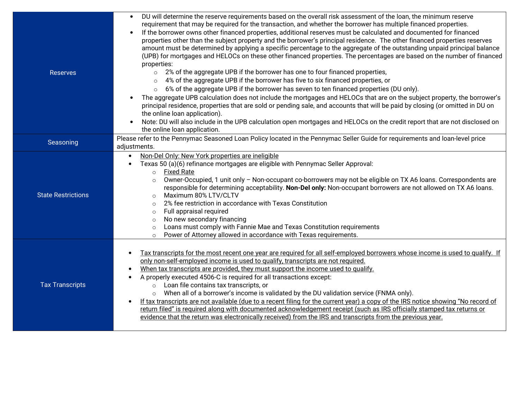| <b>Reserves</b>           | DU will determine the reserve requirements based on the overall risk assessment of the loan, the minimum reserve<br>$\bullet$<br>requirement that may be required for the transaction, and whether the borrower has multiple financed properties.<br>If the borrower owns other financed properties, additional reserves must be calculated and documented for financed<br>$\bullet$<br>properties other than the subject property and the borrower's principal residence. The other financed properties reserves<br>amount must be determined by applying a specific percentage to the aggregate of the outstanding unpaid principal balance<br>(UPB) for mortgages and HELOCs on these other financed properties. The percentages are based on the number of financed<br>properties:<br>2% of the aggregate UPB if the borrower has one to four financed properties,<br>$\circ$<br>4% of the aggregate UPB if the borrower has five to six financed properties, or<br>$\circ$ |
|---------------------------|---------------------------------------------------------------------------------------------------------------------------------------------------------------------------------------------------------------------------------------------------------------------------------------------------------------------------------------------------------------------------------------------------------------------------------------------------------------------------------------------------------------------------------------------------------------------------------------------------------------------------------------------------------------------------------------------------------------------------------------------------------------------------------------------------------------------------------------------------------------------------------------------------------------------------------------------------------------------------------|
|                           | 6% of the aggregate UPB if the borrower has seven to ten financed properties (DU only).<br>$\circ$                                                                                                                                                                                                                                                                                                                                                                                                                                                                                                                                                                                                                                                                                                                                                                                                                                                                              |
|                           | The aggregate UPB calculation does not include the mortgages and HELOCs that are on the subject property, the borrower's<br>principal residence, properties that are sold or pending sale, and accounts that will be paid by closing (or omitted in DU on<br>the online loan application).                                                                                                                                                                                                                                                                                                                                                                                                                                                                                                                                                                                                                                                                                      |
|                           | Note: DU will also include in the UPB calculation open mortgages and HELOCs on the credit report that are not disclosed on<br>the online loan application.                                                                                                                                                                                                                                                                                                                                                                                                                                                                                                                                                                                                                                                                                                                                                                                                                      |
| Seasoning                 | Please refer to the Pennymac Seasoned Loan Policy located in the Pennymac Seller Guide for requirements and loan-level price                                                                                                                                                                                                                                                                                                                                                                                                                                                                                                                                                                                                                                                                                                                                                                                                                                                    |
|                           | adjustments.                                                                                                                                                                                                                                                                                                                                                                                                                                                                                                                                                                                                                                                                                                                                                                                                                                                                                                                                                                    |
| <b>State Restrictions</b> | Non-Del Only: New York properties are ineligible<br>Texas 50 (a)(6) refinance mortgages are eligible with Pennymac Seller Approval:<br><b>Fixed Rate</b><br>$\circ$                                                                                                                                                                                                                                                                                                                                                                                                                                                                                                                                                                                                                                                                                                                                                                                                             |
|                           | Owner-Occupied, 1 unit only - Non-occupant co-borrowers may not be eligible on TX A6 loans. Correspondents are<br>$\circ$<br>responsible for determining acceptability. Non-Del only: Non-occupant borrowers are not allowed on TX A6 loans.<br>Maximum 80% LTV/CLTV<br>$\circ$                                                                                                                                                                                                                                                                                                                                                                                                                                                                                                                                                                                                                                                                                                 |
|                           | 2% fee restriction in accordance with Texas Constitution<br>$\circ$                                                                                                                                                                                                                                                                                                                                                                                                                                                                                                                                                                                                                                                                                                                                                                                                                                                                                                             |
|                           | Full appraisal required<br>$\circ$                                                                                                                                                                                                                                                                                                                                                                                                                                                                                                                                                                                                                                                                                                                                                                                                                                                                                                                                              |
|                           | No new secondary financing<br>$\circ$                                                                                                                                                                                                                                                                                                                                                                                                                                                                                                                                                                                                                                                                                                                                                                                                                                                                                                                                           |
|                           | Loans must comply with Fannie Mae and Texas Constitution requirements<br>$\circ$<br>Power of Attorney allowed in accordance with Texas requirements.                                                                                                                                                                                                                                                                                                                                                                                                                                                                                                                                                                                                                                                                                                                                                                                                                            |
|                           | $\circ$                                                                                                                                                                                                                                                                                                                                                                                                                                                                                                                                                                                                                                                                                                                                                                                                                                                                                                                                                                         |
| <b>Tax Transcripts</b>    | Tax transcripts for the most recent one year are required for all self-employed borrowers whose income is used to qualify. If<br>only non-self-employed income is used to qualify, transcripts are not required.<br>When tax transcripts are provided, they must support the income used to qualify.<br>A properly executed 4506-C is required for all transactions except:<br>Loan file contains tax transcripts, or<br>$\circ$<br>When all of a borrower's income is validated by the DU validation service (FNMA only).<br>$\circ$<br>If tax transcripts are not available (due to a recent filing for the current year) a copy of the IRS notice showing "No record of<br>return filed" is required along with documented acknowledgement receipt (such as IRS officially stamped tax returns or<br>evidence that the return was electronically received) from the IRS and transcripts from the previous year.                                                              |
|                           |                                                                                                                                                                                                                                                                                                                                                                                                                                                                                                                                                                                                                                                                                                                                                                                                                                                                                                                                                                                 |